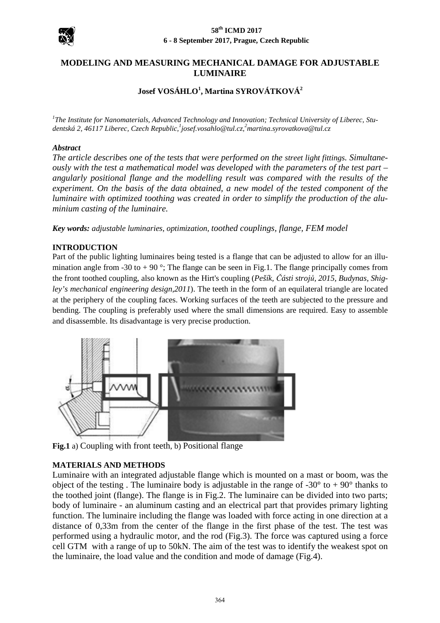

# **MODELING AND MEASURI MEASURING MECHANICAL DAMAGE FOR ADJUSTABLE LUMINAIRE**

# **Josef VOSÁHLO 1 , Martina SYROVÁTKOVÁ<sup>2</sup>**

<sup>1</sup>The Institute for Nanomaterials, Advanced Technology and Innovation; Technical University of Liberec, Stu*dentská 2, 46117 Liberec, Czech Republic Republic, 1 josef.vosahlo@tul.cz,<sup>2</sup>martina.syrovatkova@tul.cz*

### *Abstract*

The article describes one of the tests that were performed on the street light fittings. Simultane*ously with the test a mathematical model was developed with the parameters of the test part – angularly positional flange and the modelling result was compared with with the results of the*  experiment. On the basis of the data obtained, a new model of the tested component of the *luminaire with optimized toothing was created in order to simplify the production of the aluminium casting of the luminaire.*

*Key words: adjustable luminaries, optimization, toothed couplings, flange, FEM model* 

### **INTRODUCTION**

Part of the public lighting luminaires being tested is a flange that can be adjusted to allow for an illumination angle from -30 to + 90 $\degree$ ; The flange can be seen in Fig.1. The flange principally comes from mination angle from -30 to + 90 °; The flange can be seen in Fig.1. The flange principally comes from the front toothed coupling, also known as the Hirt's coupling (*Pešík, Části strojů, 2015, Budynas, Shig*ley's mechanical engineering design, 2011). The teeth in the form of an equilateral triangle are located at the periphery of the coupling faces. Working surfaces of the teeth are subjected to the pressure and bending. The coupling is preferably used where the small dimensions are required. Easy to assemble and disassemble. Its disadvantage is very precise production.



**Fig.1** a) Coupling with front teeth , b) Positional flange

### **MATERIALS AND METHODS**

Luminaire with an integrated adjustable flange which is mounted on a mast or boom, was the object of the testing. The luminaire body is adjustable in the range of  $-30^{\circ}$  to  $+90^{\circ}$  thanks to the toothed joint (flange). The flange is in Fig.2. The luminaire can be divided into two parts; body of luminaire - an aluminum casting and an electrical part that provides primary lighting function. The luminaire including the flange was loaded with force acting in one direction at a distance of 0,33m from the center of the flange in the first phase of the test. The test was performed using a hydraulic motor, and the rod (Fig.3). The force was captured using a force performed using a hydraulic motor, and the rod ( Fig.3). cell GTM with a range of up to 50kN. The aim of the test was to identify the weakest spot on the luminaire, the load value and the condition and mode of damage (Fig.4).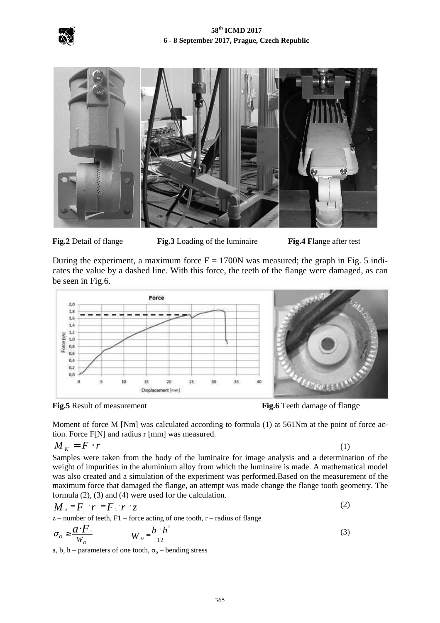



**Fig.2** Detail of flange



During the experiment, a maximum force  $F = 1700N$  was measured; the graph in Fig. 5 indicates the value by a dashed line. With this force, the teeth of the flange were damaged, as can be seen in Fig.6.



**Fig.5** Result of measurement

 **Fig.6** Teeth damage of flange

Moment of force M [Nm] was calculated according to formula (1) at 561Nm at the point of force action. Force F[N] and radius r [mm] was measured.

$$
M_{K} = F \cdot r
$$

(1)

Samples were taken from the body of the luminaire for image analysis and a determination of the weight of impurities in the aluminium alloy from which the luminaire is made. A mathematical model was also created and a simulation of the experiment was performed.Based on the measurement of the maximum force that damaged the flange, an attempt was made change the flange tooth geometry. The formula (2), (3) and (4) were used for the calculation. um alloy from which the luminaire is made. A mathemate of the experiment was performed. Based on the measure lange, an attempt was made change the flange tooth geo for the calculation. (2)

$$
M_{k} = F \cdot r = F_{1} \cdot r \cdot z
$$
  
z-number of teeth, F1 – force acting of one tooth, r – radius of flange

$$
\sigma_o \ge \frac{a \cdot F_\perp}{W_o} \qquad W_o = \frac{b \cdot h^3}{12} \tag{3}
$$

a, b, h – parameters of one tooth,  $\sigma_0$  – bending stress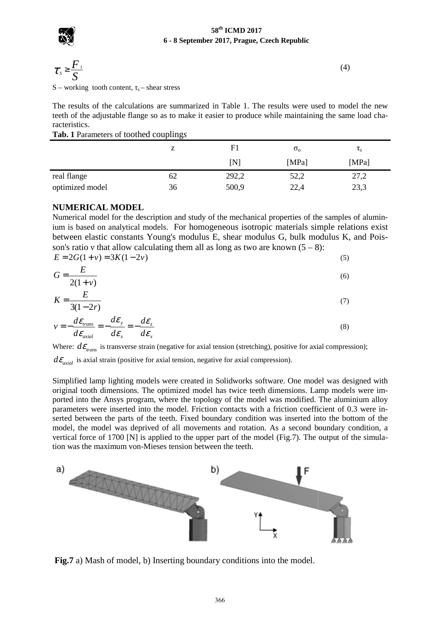

$$
\tau_s \geq \frac{F_1}{S}
$$

(4)

S – working tooth content,  $\tau_s$  – shear stress

The results of the calculations are summarized in Table 1. The results were used to model the new teeth of the adjustable flange so as to make it easier to produce while maintaining the same load characteristics.

| Tab. 1 Parameters of toothed couplings |  |
|----------------------------------------|--|
|----------------------------------------|--|

|                 | ▵  | F1             | $\sigma_{o}$ | $\tau_{\rm s}$ |
|-----------------|----|----------------|--------------|----------------|
|                 |    | $\mathsf{[N]}$ | [MPa]        | [MPa]          |
| real flange     | 62 | 292,2          | 52,2         | 27,2           |
| optimized model | 36 | 500,9          | 22,4         | 23,3           |

## **NUMERICAL MODEL**

Numerical model for the description and study of the mechanical properties of the samples of aluminium is based on analytical models. For homogeneous isotropic materials simple relations exist between elastic constants Young's modulus E, shear modulus G, bulk modulus K, and Poisson's ratio v that allow calculating them all as long as two are known  $(5 – 8)$ :

| $E = 2G(1 + v) = 3K(1 - 2v)$         |            |
|--------------------------------------|------------|
| $G=\frac{E}{\sqrt{2}}$<br>$2(1 + v)$ | (6)        |
| $\boldsymbol{\mathcal{L}}$           | $\sqrt{2}$ |

$$
K = \frac{2}{3(1-2r)}\tag{7}
$$

$$
v = -\frac{d\varepsilon_{trans}}{d\varepsilon_{axial}} = -\frac{d\varepsilon_{y}}{d\varepsilon_{x}} = -\frac{d\varepsilon_{z}}{d\varepsilon_{x}}
$$
(8)

Where:  $d\varepsilon_{trans}$  is transverse strain (negative for axial tension (stretching), positive for axial compression);

 $d\varepsilon_{\text{axial}}$  is axial strain (positive for axial tension, negative for axial compression).

Simplified lamp lighting models were created in Solidworks software. One model was designed with original tooth dimensions. The optimized model has twice teeth dimensions. Lamp models were imported into the Ansys program, where the topology of the model was modified. The aluminium alloy parameters were inserted into the model. Friction contacts with a friction coefficient of 0.3 were inserted between the parts of the teeth. Fixed boundary condition was inserted into the bottom of the model, the model was deprived of all movements and rotation. As a second boundary condition, a vertical force of 1700 [N] is applied to the upper part of the model (Fig.7). The output of the simul tion was the maximum von-Mieses tension between the teeth. d boundary condition was inserted into the bottom of the vements and rotation. As a second boundary condition, a upper part of the model (Fig.7). The output of the simula-



Fig.7 a) Mash of model, b) Inserting boundary conditions into the model.